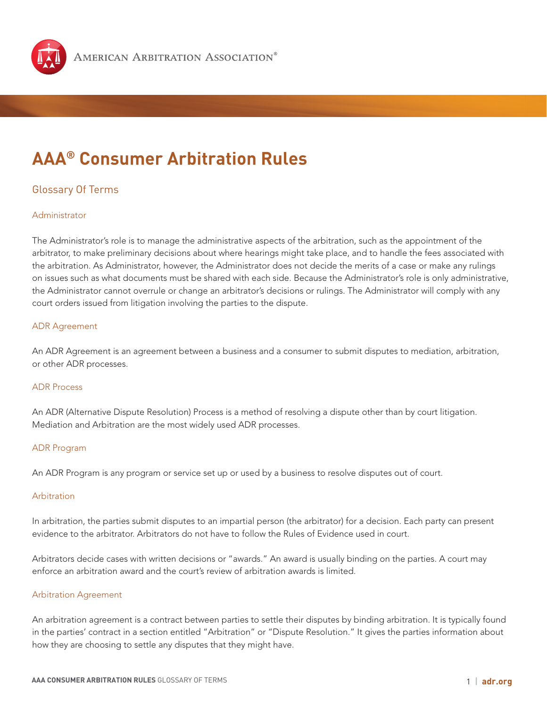

# **AAA® Consumer Arbitration Rules**

## Glossary Of Terms

## Administrator

The Administrator's role is to manage the administrative aspects of the arbitration, such as the appointment of the arbitrator, to make preliminary decisions about where hearings might take place, and to handle the fees associated with the arbitration. As Administrator, however, the Administrator does not decide the merits of a case or make any rulings on issues such as what documents must be shared with each side. Because the Administrator's role is only administrative, the Administrator cannot overrule or change an arbitrator's decisions or rulings. The Administrator will comply with any court orders issued from litigation involving the parties to the dispute.

## ADR Agreement

An ADR Agreement is an agreement between a business and a consumer to submit disputes to mediation, arbitration, or other ADR processes.

### ADR Process

An ADR (Alternative Dispute Resolution) Process is a method of resolving a dispute other than by court litigation. Mediation and Arbitration are the most widely used ADR processes.

## ADR Program

An ADR Program is any program or service set up or used by a business to resolve disputes out of court.

## Arbitration

In arbitration, the parties submit disputes to an impartial person (the arbitrator) for a decision. Each party can present evidence to the arbitrator. Arbitrators do not have to follow the Rules of Evidence used in court.

Arbitrators decide cases with written decisions or "awards." An award is usually binding on the parties. A court may enforce an arbitration award and the court's review of arbitration awards is limited.

### Arbitration Agreement

An arbitration agreement is a contract between parties to settle their disputes by binding arbitration. It is typically found in the parties' contract in a section entitled "Arbitration" or "Dispute Resolution." It gives the parties information about how they are choosing to settle any disputes that they might have.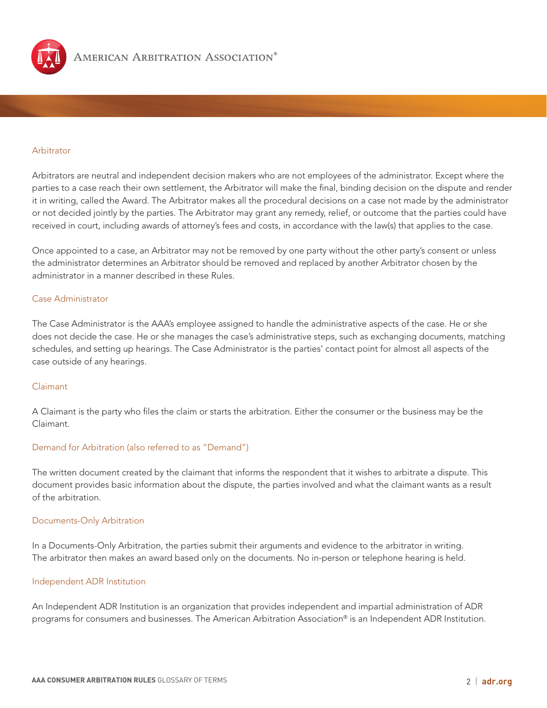

#### Arbitrator

Arbitrators are neutral and independent decision makers who are not employees of the administrator. Except where the parties to a case reach their own settlement, the Arbitrator will make the final, binding decision on the dispute and render it in writing, called the Award. The Arbitrator makes all the procedural decisions on a case not made by the administrator or not decided jointly by the parties. The Arbitrator may grant any remedy, relief, or outcome that the parties could have received in court, including awards of attorney's fees and costs, in accordance with the law(s) that applies to the case.

Once appointed to a case, an Arbitrator may not be removed by one party without the other party's consent or unless the administrator determines an Arbitrator should be removed and replaced by another Arbitrator chosen by the administrator in a manner described in these Rules.

#### Case Administrator

The Case Administrator is the AAA's employee assigned to handle the administrative aspects of the case. He or she does not decide the case. He or she manages the case's administrative steps, such as exchanging documents, matching schedules, and setting up hearings. The Case Administrator is the parties' contact point for almost all aspects of the case outside of any hearings.

#### Claimant

A Claimant is the party who files the claim or starts the arbitration. Either the consumer or the business may be the Claimant.

## Demand for Arbitration (also referred to as "Demand")

The written document created by the claimant that informs the respondent that it wishes to arbitrate a dispute. This document provides basic information about the dispute, the parties involved and what the claimant wants as a result of the arbitration.

#### Documents-Only Arbitration

In a Documents-Only Arbitration, the parties submit their arguments and evidence to the arbitrator in writing. The arbitrator then makes an award based only on the documents. No in-person or telephone hearing is held.

#### Independent ADR Institution

An Independent ADR Institution is an organization that provides independent and impartial administration of ADR programs for consumers and businesses. The American Arbitration Association® is an Independent ADR Institution.